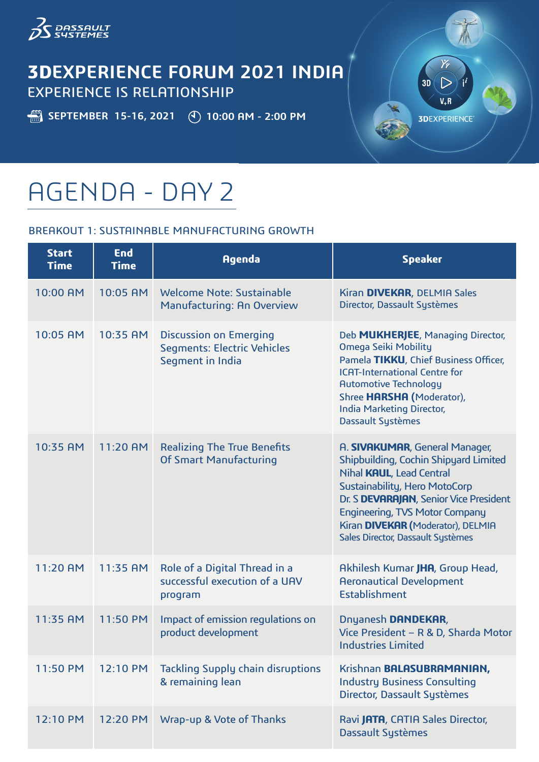

# **3DEXPERIENCE FORUM 2021 INDIA** EXPERIENCE IS RELATIONSHIP

**SEPTEMBER 15-16, 2021** (10:00 AM - 2:00 PM

 $3D$  $\triangleright$  $V_{+}R$ **3DEXPERIENCE®** 

# AGENDA - DAY 2

# BREAKOUT 1: SUSTAINABLE MANUFACTURING GROWTH

| <b>Start</b><br><b>Time</b> | <b>End</b><br><b>Time</b> | <b>Agenda</b>                                                                           | <b>Speaker</b>                                                                                                                                                                                                                                                                                    |
|-----------------------------|---------------------------|-----------------------------------------------------------------------------------------|---------------------------------------------------------------------------------------------------------------------------------------------------------------------------------------------------------------------------------------------------------------------------------------------------|
| 10:00 AM                    | 10:05 AM                  | Welcome Note: Sustainable<br><b>Manufacturing: An Overview</b>                          | Kiran DIVEKAR, DELMIA Sales<br>Director, Dassault Systèmes                                                                                                                                                                                                                                        |
| 10:05 AM                    | 10:35 AM                  | <b>Discussion on Emerging</b><br><b>Segments: Electric Vehicles</b><br>Segment in India | Deb MUKHERJEE, Managing Director,<br>Omega Seiki Mobility<br>Pamela TIKKU, Chief Business Officer,<br><b>ICAT-International Centre for</b><br><b>Automotive Technology</b><br>Shree HARSHA (Moderator),<br><b>India Marketing Director,</b><br><b>Dassault Systèmes</b>                           |
| 10:35 AM                    | 11:20 AM                  | <b>Realizing The True Benefits</b><br><b>Of Smart Manufacturing</b>                     | A. SIVAKUMAR, General Manager,<br>Shipbuilding, Cochin Shipyard Limited<br>Nihal KAUL, Lead Central<br>Sustainability, Hero MotoCorp<br>Dr. S DEVARAJAN, Senior Vice President<br><b>Engineering, TVS Motor Company</b><br>Kiran DIVEKAR (Moderator), DELMIA<br>Sales Director, Dassault Systèmes |
| 11:20 AM                    | 11:35 AM                  | Role of a Digital Thread in a<br>successful execution of a UAV<br>program               | Akhilesh Kumar JHA, Group Head,<br><b>Aeronautical Development</b><br>Establishment                                                                                                                                                                                                               |
| 11:35 AM                    | 11:50 PM                  | Impact of emission regulations on<br>product development                                | Dnyanesh DANDEKAR,<br>Vice President - R & D, Sharda Motor<br><b>Industries Limited</b>                                                                                                                                                                                                           |
| 11:50 PM                    | 12:10 PM                  | <b>Tackling Supply chain disruptions</b><br>& remaining lean                            | Krishnan BALASUBRAMANIAN,<br><b>Industry Business Consulting</b><br>Director, Dassault Systèmes                                                                                                                                                                                                   |
| 12:10 PM                    | 12:20 PM                  | Wrap-up & Vote of Thanks                                                                | Ravi JATA, CATIA Sales Director,<br><b>Dassault Systèmes</b>                                                                                                                                                                                                                                      |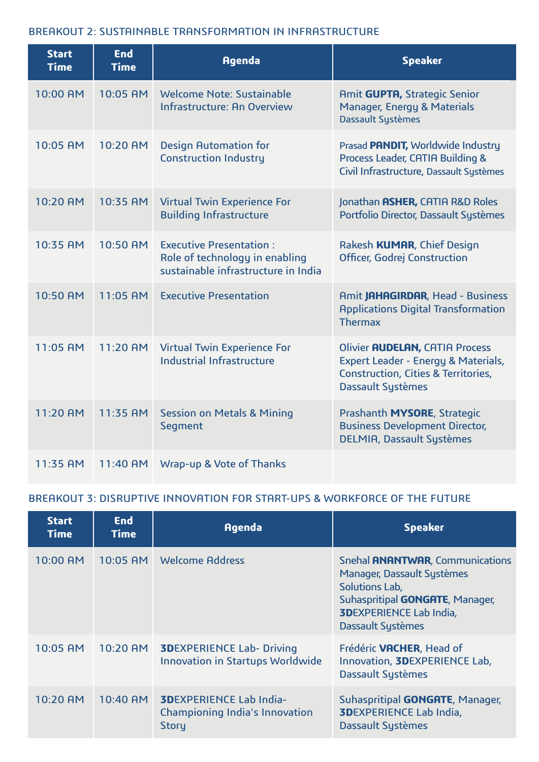#### BREAKOUT 2: SUSTAINABLE TRANSFORMATION IN INFRASTRUCTURE

| <b>Start</b><br><b>Time</b> | <b>End</b><br><b>Time</b> | <b>Agenda</b>                                                                                           | <b>Speaker</b>                                                                                                                                             |
|-----------------------------|---------------------------|---------------------------------------------------------------------------------------------------------|------------------------------------------------------------------------------------------------------------------------------------------------------------|
| 10:00 AM                    | 10:05 AM                  | Welcome Note: Sustainable<br>Infrastructure: An Overview                                                | Amit GUPTA, Strategic Senior<br>Manager, Energy & Materials<br><b>Dassault Systèmes</b>                                                                    |
| 10:05 AM                    | 10:20 AM                  | <b>Design Automation for</b><br><b>Construction Industry</b>                                            | Prasad PANDIT, Worldwide Industry<br>Process Leader, CATIA Building &<br>Civil Infrastructure, Dassault Systèmes                                           |
| 10:20 AM                    | 10:35 AM                  | <b>Virtual Twin Experience For</b><br><b>Building Infrastructure</b>                                    | Jonathan ASHER, CATIA R&D Roles<br>Portfolio Director, Dassault Systèmes                                                                                   |
| 10:35 AM                    | 10:50 AM                  | <b>Executive Presentation:</b><br>Role of technology in enabling<br>sustainable infrastructure in India | Rakesh KUMAR, Chief Design<br>Officer, Godrej Construction                                                                                                 |
| 10:50 AM                    | 11:05 AM                  | <b>Executive Presentation</b>                                                                           | Amit JAHAGIRDAR, Head - Business<br><b>Applications Digital Transformation</b><br><b>Thermax</b>                                                           |
| 11:05 AM                    | 11:20 AM                  | <b>Virtual Twin Experience For</b><br>Industrial Infrastructure                                         | <b>Olivier AUDELAN, CATIA Process</b><br>Expert Leader - Energy & Materials,<br><b>Construction, Cities &amp; Territories,</b><br><b>Dassault Systèmes</b> |
| 11:20 AM                    | 11:35 AM                  | <b>Session on Metals &amp; Mining</b><br>Segment                                                        | Prashanth MYSORE, Strategic<br><b>Business Development Director,</b><br><b>DELMIA, Dassault Systèmes</b>                                                   |
| 11:35 AM                    | 11:40 AM                  | Wrap-up & Vote of Thanks                                                                                |                                                                                                                                                            |

# BREAKOUT 3: DISRUPTIVE INNOVATION FOR START-UPS & WORKFORCE OF THE FUTURE

| <b>Start</b><br><b>Time</b> | <b>End</b><br><b>Time</b> | <b>Agenda</b>                                                                           | <b>Speaker</b>                                                                                                                                                                                   |
|-----------------------------|---------------------------|-----------------------------------------------------------------------------------------|--------------------------------------------------------------------------------------------------------------------------------------------------------------------------------------------------|
| 10:00 AM                    | 10:05 AM                  | <b>Welcome Address</b>                                                                  | Snehal <b>ANANTWAR</b> , Communications<br>Manager, Dassault Systèmes<br>Solutions Lab,<br>Suhaspritipal <b>GONGATE</b> , Manager,<br><b>3DEXPERIENCE Lab India,</b><br><b>Dassault Systèmes</b> |
| 10:05 AM                    | 10:20 AM                  | <b>3DEXPERIENCE Lab- Driving</b><br><b>Innovation in Startups Worldwide</b>             | Frédéric VACHER, Head of<br>Innovation, <b>3DEXPERIENCE Lab</b> ,<br><b>Dassault Systèmes</b>                                                                                                    |
| 10:20 AM                    | 10:40 AM                  | <b>3DEXPERIENCE Lab India-</b><br><b>Championing India's Innovation</b><br><b>Story</b> | Suhaspritipal <b>GONGATE</b> , Manager,<br><b>3DEXPERIENCE Lab India,</b><br>Dassault Systèmes                                                                                                   |